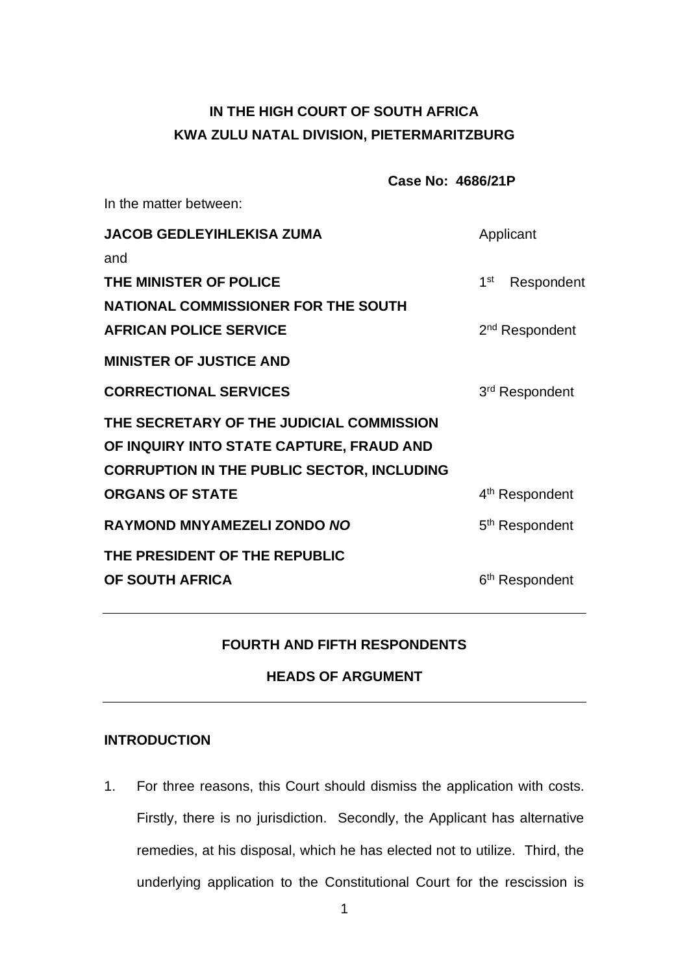# **IN THE HIGH COURT OF SOUTH AFRICA KWA ZULU NATAL DIVISION, PIETERMARITZBURG**

|                                                   | Case No: 4686/21P |                               |
|---------------------------------------------------|-------------------|-------------------------------|
| In the matter between:                            |                   |                               |
| <b>JACOB GEDLEYIHLEKISA ZUMA</b>                  |                   | Applicant                     |
| and                                               |                   |                               |
| THE MINISTER OF POLICE                            |                   | 1 <sup>st</sup><br>Respondent |
| <b>NATIONAL COMMISSIONER FOR THE SOUTH</b>        |                   |                               |
| <b>AFRICAN POLICE SERVICE</b>                     |                   | 2 <sup>nd</sup> Respondent    |
| <b>MINISTER OF JUSTICE AND</b>                    |                   |                               |
| <b>CORRECTIONAL SERVICES</b>                      |                   | 3 <sup>rd</sup> Respondent    |
| THE SECRETARY OF THE JUDICIAL COMMISSION          |                   |                               |
| OF INQUIRY INTO STATE CAPTURE, FRAUD AND          |                   |                               |
| <b>CORRUPTION IN THE PUBLIC SECTOR, INCLUDING</b> |                   |                               |
| <b>ORGANS OF STATE</b>                            |                   | 4 <sup>th</sup> Respondent    |
| <b>RAYMOND MNYAMEZELI ZONDO NO</b>                |                   | 5 <sup>th</sup> Respondent    |
| THE PRESIDENT OF THE REPUBLIC                     |                   |                               |
| OF SOUTH AFRICA                                   |                   | 6 <sup>th</sup> Respondent    |

# **FOURTH AND FIFTH RESPONDENTS**

# **HEADS OF ARGUMENT**

### **INTRODUCTION**

1. For three reasons, this Court should dismiss the application with costs. Firstly, there is no jurisdiction. Secondly, the Applicant has alternative remedies, at his disposal, which he has elected not to utilize. Third, the underlying application to the Constitutional Court for the rescission is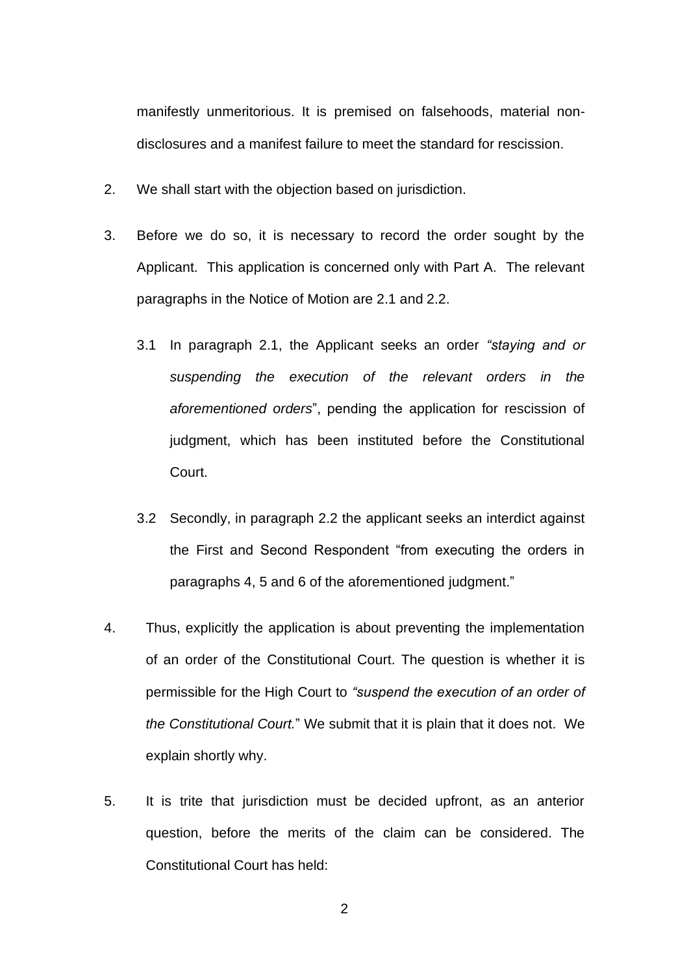manifestly unmeritorious. It is premised on falsehoods, material nondisclosures and a manifest failure to meet the standard for rescission.

- 2. We shall start with the objection based on jurisdiction.
- 3. Before we do so, it is necessary to record the order sought by the Applicant. This application is concerned only with Part A. The relevant paragraphs in the Notice of Motion are 2.1 and 2.2.
	- 3.1 In paragraph 2.1, the Applicant seeks an order *"staying and or suspending the execution of the relevant orders in the aforementioned orders*", pending the application for rescission of judgment, which has been instituted before the Constitutional Court.
	- 3.2 Secondly, in paragraph 2.2 the applicant seeks an interdict against the First and Second Respondent "from executing the orders in paragraphs 4, 5 and 6 of the aforementioned judgment."
- 4. Thus, explicitly the application is about preventing the implementation of an order of the Constitutional Court. The question is whether it is permissible for the High Court to *"suspend the execution of an order of the Constitutional Court.*" We submit that it is plain that it does not. We explain shortly why.
- 5. It is trite that jurisdiction must be decided upfront, as an anterior question, before the merits of the claim can be considered. The Constitutional Court has held:

2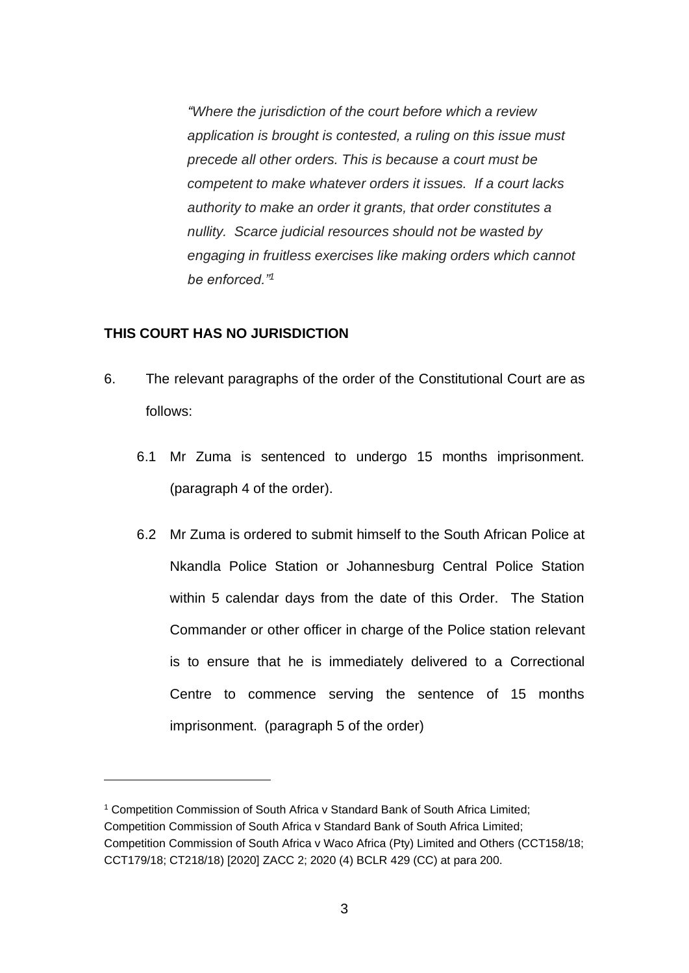*"Where the jurisdiction of the court before which a review application is brought is contested, a ruling on this issue must precede all other orders. This is because a court must be competent to make whatever orders it issues. If a court lacks authority to make an order it grants, that order constitutes a nullity. Scarce judicial resources should not be wasted by engaging in fruitless exercises like making orders which cannot be enforced."<sup>1</sup>*

### **THIS COURT HAS NO JURISDICTION**

- 6. The relevant paragraphs of the order of the Constitutional Court are as follows:
	- 6.1 Mr Zuma is sentenced to undergo 15 months imprisonment. (paragraph 4 of the order).
	- 6.2 Mr Zuma is ordered to submit himself to the South African Police at Nkandla Police Station or Johannesburg Central Police Station within 5 calendar days from the date of this Order. The Station Commander or other officer in charge of the Police station relevant is to ensure that he is immediately delivered to a Correctional Centre to commence serving the sentence of 15 months imprisonment. (paragraph 5 of the order)

<sup>&</sup>lt;sup>1</sup> Competition Commission of South Africa v Standard Bank of South Africa Limited; Competition Commission of South Africa v Standard Bank of South Africa Limited; Competition Commission of South Africa v Waco Africa (Pty) Limited and Others (CCT158/18; CCT179/18; CT218/18) [2020] ZACC 2; 2020 (4) BCLR 429 (CC) at para 200.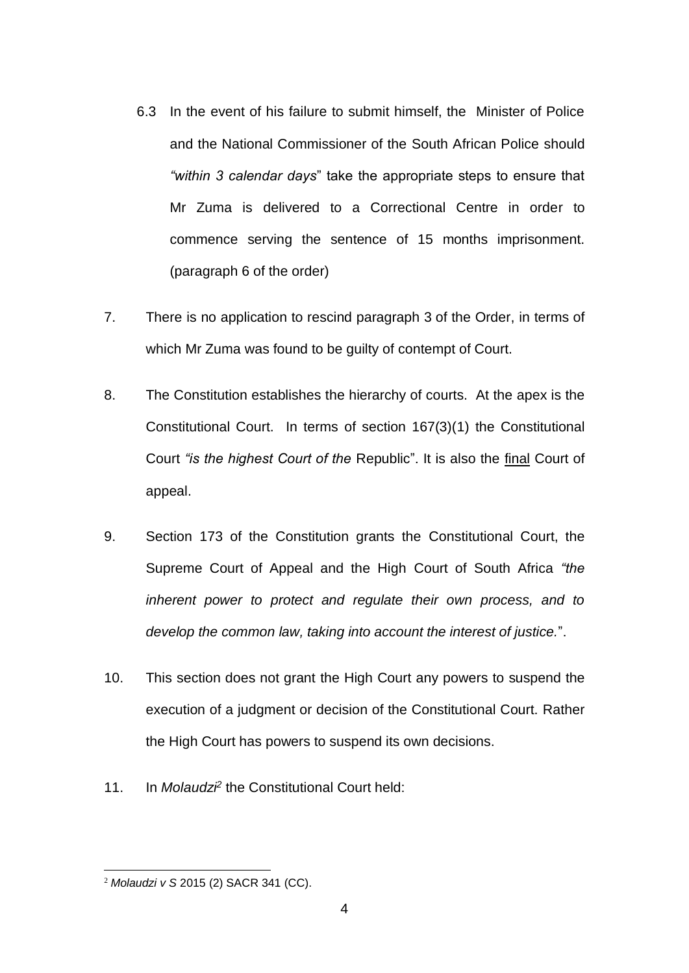- 6.3 In the event of his failure to submit himself, the Minister of Police and the National Commissioner of the South African Police should *"within 3 calendar days*" take the appropriate steps to ensure that Mr Zuma is delivered to a Correctional Centre in order to commence serving the sentence of 15 months imprisonment. (paragraph 6 of the order)
- 7. There is no application to rescind paragraph 3 of the Order, in terms of which Mr Zuma was found to be guilty of contempt of Court.
- 8. The Constitution establishes the hierarchy of courts. At the apex is the Constitutional Court. In terms of section 167(3)(1) the Constitutional Court *"is the highest Court of the* Republic". It is also the final Court of appeal.
- 9. Section 173 of the Constitution grants the Constitutional Court, the Supreme Court of Appeal and the High Court of South Africa *"the inherent power to protect and regulate their own process, and to develop the common law, taking into account the interest of justice.*".
- 10. This section does not grant the High Court any powers to suspend the execution of a judgment or decision of the Constitutional Court. Rather the High Court has powers to suspend its own decisions.
- 11. In *Molaudzi<sup>2</sup>* the Constitutional Court held:

<sup>2</sup> *Molaudzi v S* 2015 (2) SACR 341 (CC).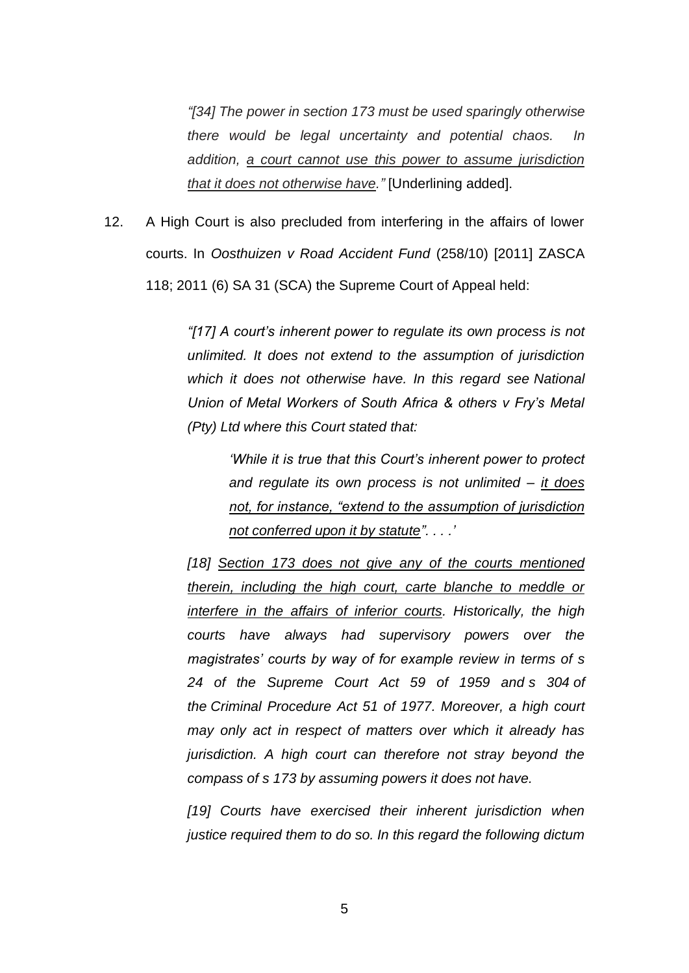*"[34] The power in section 173 must be used sparingly otherwise there would be legal uncertainty and potential chaos. In addition, a court cannot use this power to assume jurisdiction that it does not otherwise have."* [Underlining added].

12. A High Court is also precluded from interfering in the affairs of lower courts. In *Oosthuizen v Road Accident Fund* (258/10) [2011] ZASCA 118; 2011 (6) SA 31 (SCA) the Supreme Court of Appeal held:

> *"[17] A court's inherent power to regulate its own process is not unlimited. It does not extend to the assumption of jurisdiction which it does not otherwise have. In this regard see National Union of Metal Workers of South Africa & others v Fry's Metal (Pty) Ltd where this Court stated that:*

*'While it is true that this Court's inherent power to protect and regulate its own process is not unlimited – it does not, for instance, "extend to the assumption of jurisdiction not conferred upon it by statute". . . .'*

*[18] Section 173 does not give any of the courts mentioned therein, including the high court, carte blanche to meddle or interfere in the affairs of inferior courts. Historically, the high courts have always had supervisory powers over the magistrates' courts by way of for example review in terms of s 24 of the Supreme Court Act 59 of 1959 and [s 304](http://www.saflii.org/za/legis/consol_act/cpa1977188/index.html#s304) of the [Criminal Procedure Act 51 of 1977.](http://www.saflii.org/za/legis/consol_act/cpa1977188/) Moreover, a high court may only act in respect of matters over which it already has jurisdiction. A high court can therefore not stray beyond the compass of [s 173](http://www.saflii.org/za/legis/consol_act/cpa1977188/index.html#s173) by assuming powers it does not have.*

*[19] Courts have exercised their inherent jurisdiction when justice required them to do so. In this regard the following dictum*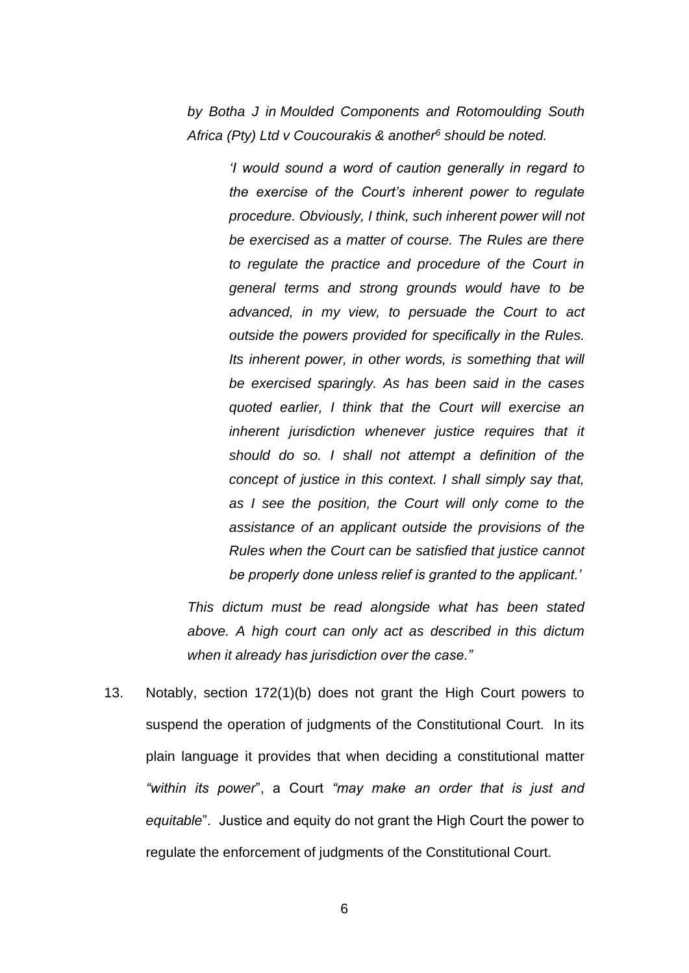*by Botha J in Moulded Components and Rotomoulding South Africa (Pty) Ltd v Coucourakis & another[6](http://www.saflii.org/za/cases/ZASCA/2011/118.html#sdfootnote6sym) should be noted.*

> *'I would sound a word of caution generally in regard to the exercise of the Court's inherent power to regulate procedure. Obviously, I think, such inherent power will not be exercised as a matter of course. The Rules are there to regulate the practice and procedure of the Court in general terms and strong grounds would have to be advanced, in my view, to persuade the Court to act outside the powers provided for specifically in the Rules. Its inherent power, in other words, is something that will be exercised sparingly. As has been said in the cases quoted earlier, I think that the Court will exercise an inherent jurisdiction whenever justice requires that it should do so. I shall not attempt a definition of the concept of justice in this context. I shall simply say that, as I see the position, the Court will only come to the assistance of an applicant outside the provisions of the Rules when the Court can be satisfied that justice cannot be properly done unless relief is granted to the applicant.'*

*This dictum must be read alongside what has been stated above. A high court can only act as described in this dictum when it already has jurisdiction over the case."*

13. Notably, section 172(1)(b) does not grant the High Court powers to suspend the operation of judgments of the Constitutional Court. In its plain language it provides that when deciding a constitutional matter *"within its power*", a Court *"may make an order that is just and equitable*". Justice and equity do not grant the High Court the power to regulate the enforcement of judgments of the Constitutional Court.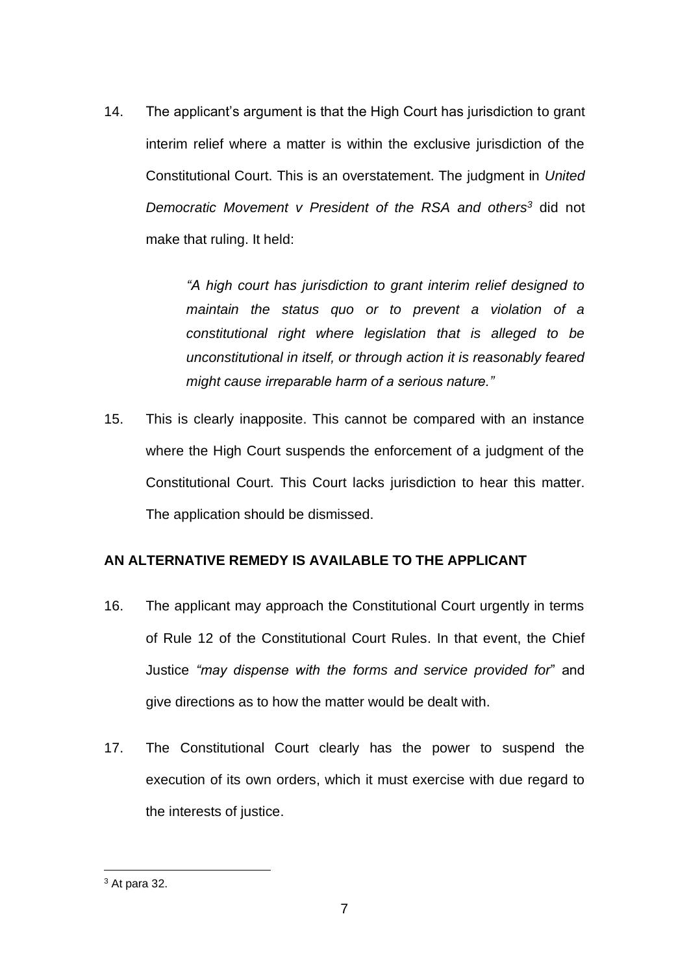14. The applicant's argument is that the High Court has jurisdiction to grant interim relief where a matter is within the exclusive jurisdiction of the Constitutional Court. This is an overstatement. The judgment in *United Democratic Movement v President of the RSA and others<sup>3</sup>* did not make that ruling. It held:

> *"A high court has jurisdiction to grant interim relief designed to maintain the status quo or to prevent a violation of a constitutional right where legislation that is alleged to be unconstitutional in itself, or through action it is reasonably feared might cause irreparable harm of a serious nature."*

15. This is clearly inapposite. This cannot be compared with an instance where the High Court suspends the enforcement of a judgment of the Constitutional Court. This Court lacks jurisdiction to hear this matter. The application should be dismissed.

# **AN ALTERNATIVE REMEDY IS AVAILABLE TO THE APPLICANT**

- 16. The applicant may approach the Constitutional Court urgently in terms of Rule 12 of the Constitutional Court Rules. In that event, the Chief Justice *"may dispense with the forms and service provided for*" and give directions as to how the matter would be dealt with.
- 17. The Constitutional Court clearly has the power to suspend the execution of its own orders, which it must exercise with due regard to the interests of justice.

 $3$  At para 32.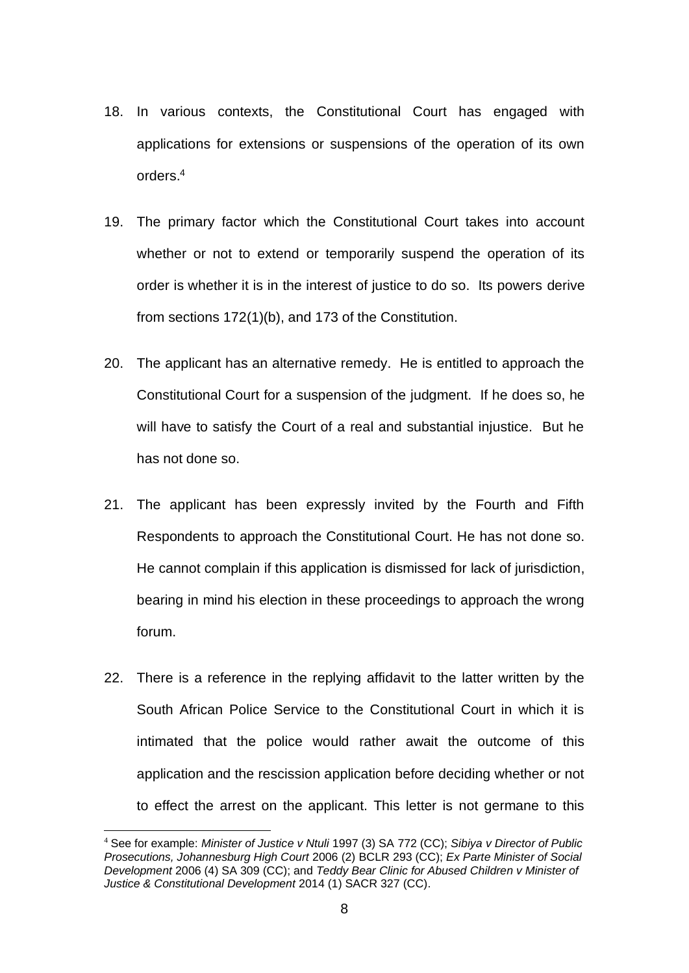- 18. In various contexts, the Constitutional Court has engaged with applications for extensions or suspensions of the operation of its own orders. 4
- 19. The primary factor which the Constitutional Court takes into account whether or not to extend or temporarily suspend the operation of its order is whether it is in the interest of justice to do so. Its powers derive from sections 172(1)(b), and 173 of the Constitution.
- 20. The applicant has an alternative remedy. He is entitled to approach the Constitutional Court for a suspension of the judgment. If he does so, he will have to satisfy the Court of a real and substantial injustice. But he has not done so.
- 21. The applicant has been expressly invited by the Fourth and Fifth Respondents to approach the Constitutional Court. He has not done so. He cannot complain if this application is dismissed for lack of jurisdiction, bearing in mind his election in these proceedings to approach the wrong forum.
- 22. There is a reference in the replying affidavit to the latter written by the South African Police Service to the Constitutional Court in which it is intimated that the police would rather await the outcome of this application and the rescission application before deciding whether or not to effect the arrest on the applicant. This letter is not germane to this

<sup>4</sup> See for example: *Minister of Justice v Ntuli* 1997 (3) SA 772 (CC); *Sibiya v Director of Public Prosecutions, Johannesburg High Court* 2006 (2) BCLR 293 (CC); *Ex Parte Minister of Social Development* 2006 (4) SA 309 (CC); and *Teddy Bear Clinic for Abused Children v Minister of Justice & Constitutional Development* 2014 (1) SACR 327 (CC).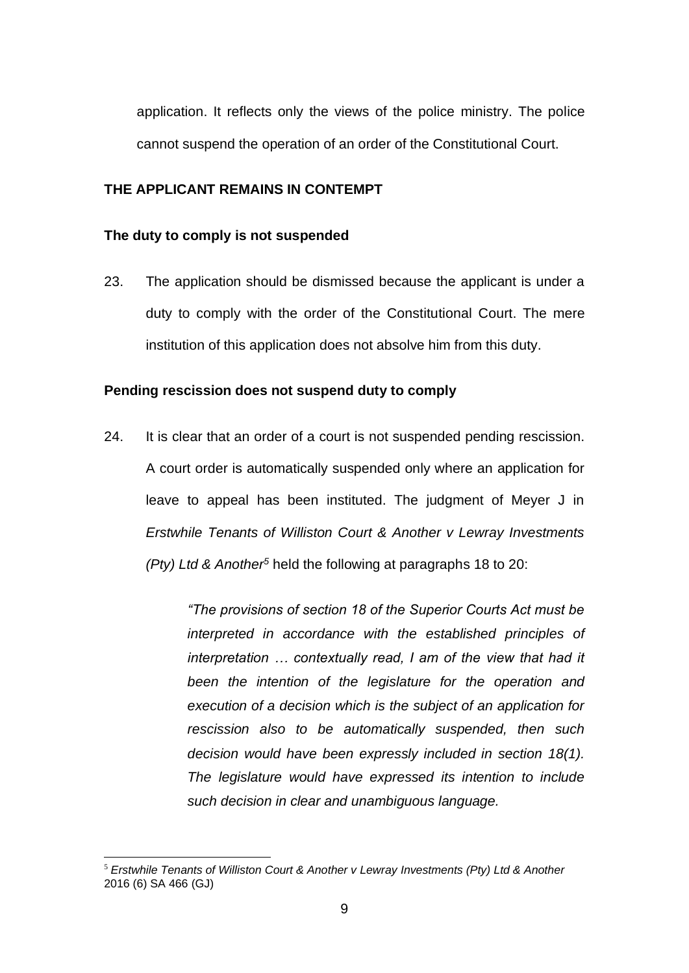application. It reflects only the views of the police ministry. The police cannot suspend the operation of an order of the Constitutional Court.

### **THE APPLICANT REMAINS IN CONTEMPT**

#### **The duty to comply is not suspended**

23. The application should be dismissed because the applicant is under a duty to comply with the order of the Constitutional Court. The mere institution of this application does not absolve him from this duty.

#### **Pending rescission does not suspend duty to comply**

24. It is clear that an order of a court is not suspended pending rescission. A court order is automatically suspended only where an application for leave to appeal has been instituted. The judgment of Meyer J in *Erstwhile Tenants of Williston Court & Another v Lewray Investments (Pty) Ltd & Another<sup>5</sup>* held the following at paragraphs 18 to 20:

> *"The provisions of section 18 of the Superior Courts Act must be interpreted in accordance with the established principles of interpretation … contextually read, I am of the view that had it been the intention of the legislature for the operation and execution of a decision which is the subject of an application for rescission also to be automatically suspended, then such decision would have been expressly included in section 18(1). The legislature would have expressed its intention to include such decision in clear and unambiguous language.*

<sup>5</sup> *Erstwhile Tenants of Williston Court & Another v Lewray Investments (Pty) Ltd & Another*  2016 (6) SA 466 (GJ)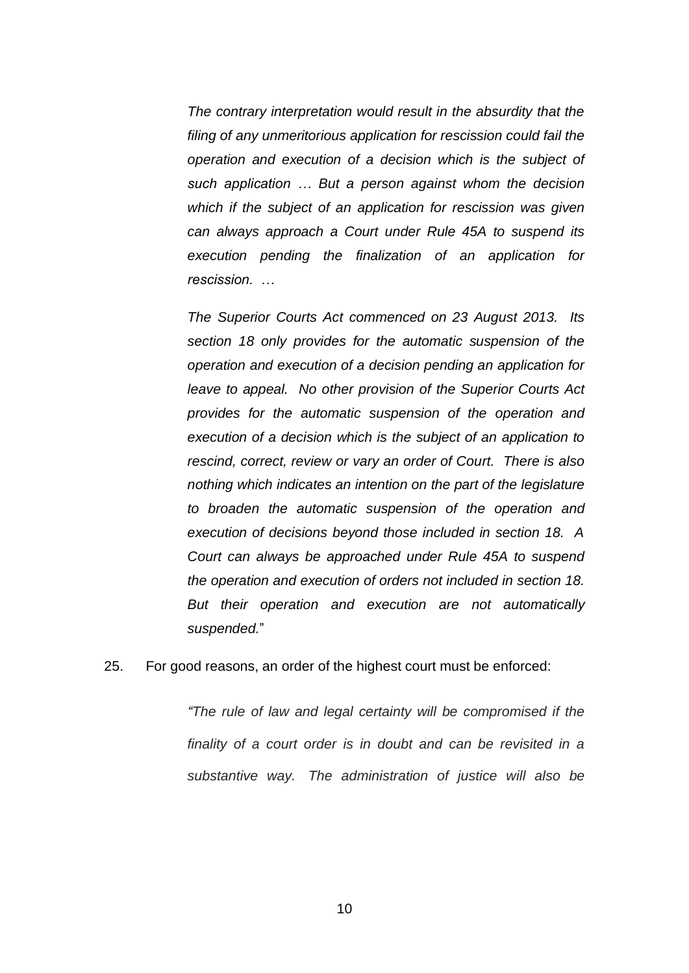*The contrary interpretation would result in the absurdity that the filing of any unmeritorious application for rescission could fail the operation and execution of a decision which is the subject of such application … But a person against whom the decision which if the subject of an application for rescission was given can always approach a Court under Rule 45A to suspend its execution pending the finalization of an application for rescission. …*

*The Superior Courts Act commenced on 23 August 2013. Its section 18 only provides for the automatic suspension of the operation and execution of a decision pending an application for leave to appeal. No other provision of the Superior Courts Act provides for the automatic suspension of the operation and execution of a decision which is the subject of an application to rescind, correct, review or vary an order of Court. There is also nothing which indicates an intention on the part of the legislature to broaden the automatic suspension of the operation and execution of decisions beyond those included in section 18. A Court can always be approached under Rule 45A to suspend the operation and execution of orders not included in section 18. But their operation and execution are not automatically suspended.*"

25. For good reasons, an order of the highest court must be enforced:

*"The rule of law and legal certainty will be compromised if the finality of a court order is in doubt and can be revisited in a substantive way. The administration of justice will also be*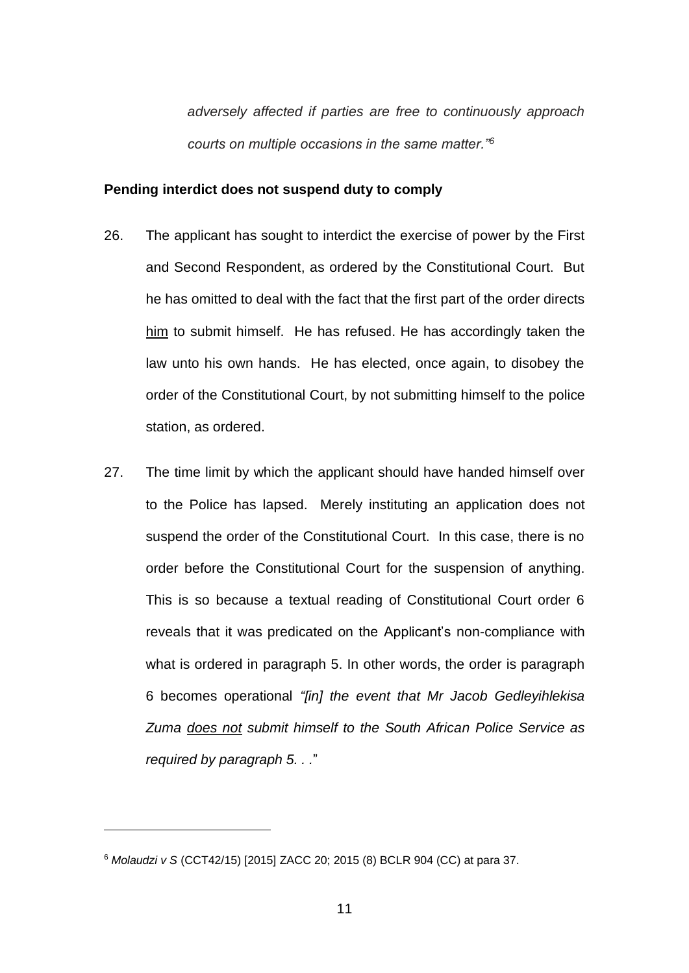*adversely affected if parties are free to continuously approach courts on multiple occasions in the same matter."<sup>6</sup>* 

#### **Pending interdict does not suspend duty to comply**

- 26. The applicant has sought to interdict the exercise of power by the First and Second Respondent, as ordered by the Constitutional Court. But he has omitted to deal with the fact that the first part of the order directs him to submit himself. He has refused. He has accordingly taken the law unto his own hands. He has elected, once again, to disobey the order of the Constitutional Court, by not submitting himself to the police station, as ordered.
- 27. The time limit by which the applicant should have handed himself over to the Police has lapsed. Merely instituting an application does not suspend the order of the Constitutional Court. In this case, there is no order before the Constitutional Court for the suspension of anything. This is so because a textual reading of Constitutional Court order 6 reveals that it was predicated on the Applicant's non-compliance with what is ordered in paragraph 5. In other words, the order is paragraph 6 becomes operational *"[in] the event that Mr Jacob Gedleyihlekisa Zuma does not submit himself to the South African Police Service as required by paragraph 5. . .*"

<sup>6</sup> *Molaudzi v S* (CCT42/15) [2015] ZACC 20; 2015 (8) BCLR 904 (CC) at para 37.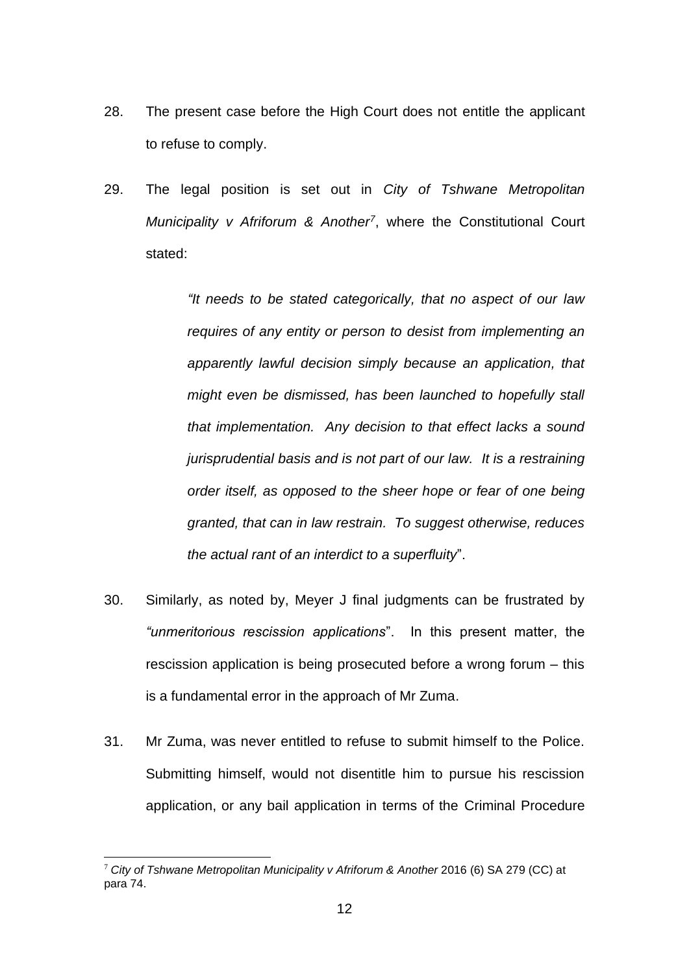- 28. The present case before the High Court does not entitle the applicant to refuse to comply.
- 29. The legal position is set out in *City of Tshwane Metropolitan Municipality v Afriforum & Another<sup>7</sup>* , where the Constitutional Court stated:

*"It needs to be stated categorically, that no aspect of our law requires of any entity or person to desist from implementing an apparently lawful decision simply because an application, that might even be dismissed, has been launched to hopefully stall that implementation. Any decision to that effect lacks a sound jurisprudential basis and is not part of our law. It is a restraining order itself, as opposed to the sheer hope or fear of one being granted, that can in law restrain. To suggest otherwise, reduces the actual rant of an interdict to a superfluity*".

- 30. Similarly, as noted by, Meyer J final judgments can be frustrated by *"unmeritorious rescission applications*". In this present matter, the rescission application is being prosecuted before a wrong forum – this is a fundamental error in the approach of Mr Zuma.
- 31. Mr Zuma, was never entitled to refuse to submit himself to the Police. Submitting himself, would not disentitle him to pursue his rescission application, or any bail application in terms of the Criminal Procedure

<sup>7</sup> *City of Tshwane Metropolitan Municipality v Afriforum & Another* 2016 (6) SA 279 (CC) at para 74.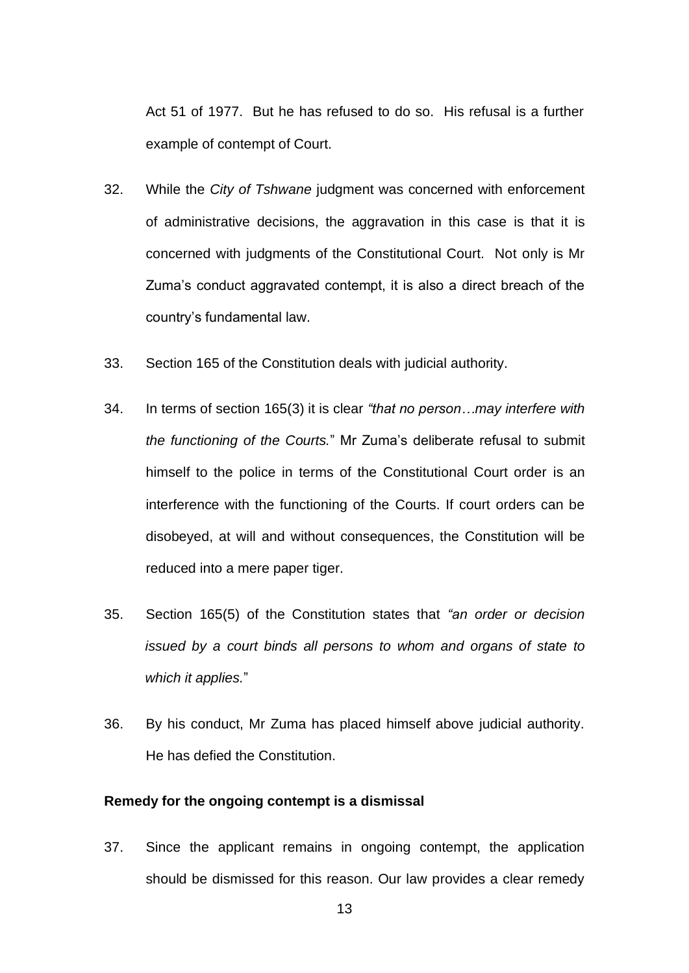Act 51 of 1977. But he has refused to do so. His refusal is a further example of contempt of Court.

- 32. While the *City of Tshwane* judgment was concerned with enforcement of administrative decisions, the aggravation in this case is that it is concerned with judgments of the Constitutional Court. Not only is Mr Zuma's conduct aggravated contempt, it is also a direct breach of the country's fundamental law.
- 33. Section 165 of the Constitution deals with judicial authority.
- 34. In terms of section 165(3) it is clear *"that no person…may interfere with the functioning of the Courts.*" Mr Zuma's deliberate refusal to submit himself to the police in terms of the Constitutional Court order is an interference with the functioning of the Courts. If court orders can be disobeyed, at will and without consequences, the Constitution will be reduced into a mere paper tiger.
- 35. Section 165(5) of the Constitution states that *"an order or decision issued by a court binds all persons to whom and organs of state to which it applies.*"
- 36. By his conduct, Mr Zuma has placed himself above judicial authority. He has defied the Constitution.

### **Remedy for the ongoing contempt is a dismissal**

37. Since the applicant remains in ongoing contempt, the application should be dismissed for this reason. Our law provides a clear remedy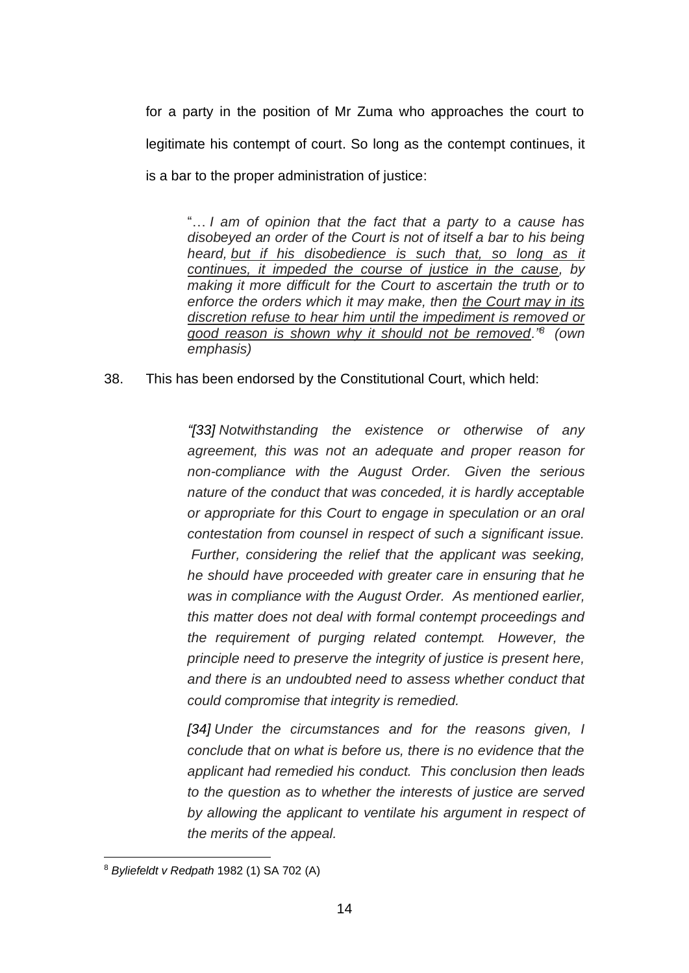for a party in the position of Mr Zuma who approaches the court to legitimate his contempt of court. So long as the contempt continues, it is a bar to the proper administration of justice:

"… *I am of opinion that the fact that a party to a cause has disobeyed an order of the Court is not of itself a bar to his being heard, but if his disobedience is such that, so long as it continues, it impeded the course of justice in the cause, by making it more difficult for the Court to ascertain the truth or to enforce the orders which it may make, then the Court may in its discretion refuse to hear him until the impediment is removed or good reason is shown why it should not be removed."<sup>8</sup> (own emphasis)*

# 38. This has been endorsed by the Constitutional Court, which held:

*"[33] Notwithstanding the existence or otherwise of any agreement, this was not an adequate and proper reason for non-compliance with the August Order. Given the serious nature of the conduct that was conceded, it is hardly acceptable or appropriate for this Court to engage in speculation or an oral contestation from counsel in respect of such a significant issue. Further, considering the relief that the applicant was seeking, he should have proceeded with greater care in ensuring that he was in compliance with the August Order. As mentioned earlier, this matter does not deal with formal contempt proceedings and the requirement of purging related contempt. However, the principle need to preserve the integrity of justice is present here, and there is an undoubted need to assess whether conduct that could compromise that integrity is remedied.*

*[34] Under the circumstances and for the reasons given, I conclude that on what is before us, there is no evidence that the applicant had remedied his conduct. This conclusion then leads to the question as to whether the interests of justice are served by allowing the applicant to ventilate his argument in respect of the merits of the appeal.*

<sup>8</sup> *Byliefeldt v Redpath* [1982 \(1\) SA 702](http://www.saflii.org/cgi-bin/LawCite?cit=1982%20%281%29%20SA%20702) (A)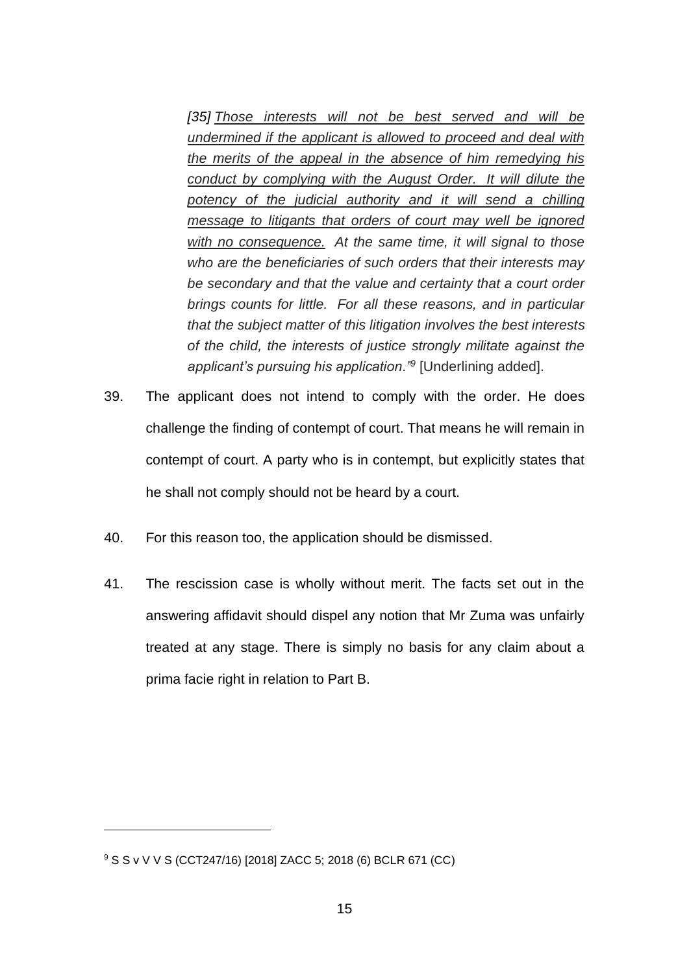*[35] Those interests will not be best served and will be undermined if the applicant is allowed to proceed and deal with the merits of the appeal in the absence of him remedying his conduct by complying with the August Order. It will dilute the potency of the judicial authority and it will send a chilling message to litigants that orders of court may well be ignored with no consequence. At the same time, it will signal to those who are the beneficiaries of such orders that their interests may be secondary and that the value and certainty that a court order brings counts for little. For all these reasons, and in particular that the subject matter of this litigation involves the best interests of the child, the interests of justice strongly militate against the applicant's pursuing his application."<sup>9</sup>* [Underlining added].

- 39. The applicant does not intend to comply with the order. He does challenge the finding of contempt of court. That means he will remain in contempt of court. A party who is in contempt, but explicitly states that he shall not comply should not be heard by a court.
- 40. For this reason too, the application should be dismissed.
- 41. The rescission case is wholly without merit. The facts set out in the answering affidavit should dispel any notion that Mr Zuma was unfairly treated at any stage. There is simply no basis for any claim about a prima facie right in relation to Part B.

<sup>9</sup> S S v V V S (CCT247/16) [2018] ZACC 5; 2018 (6) BCLR 671 (CC)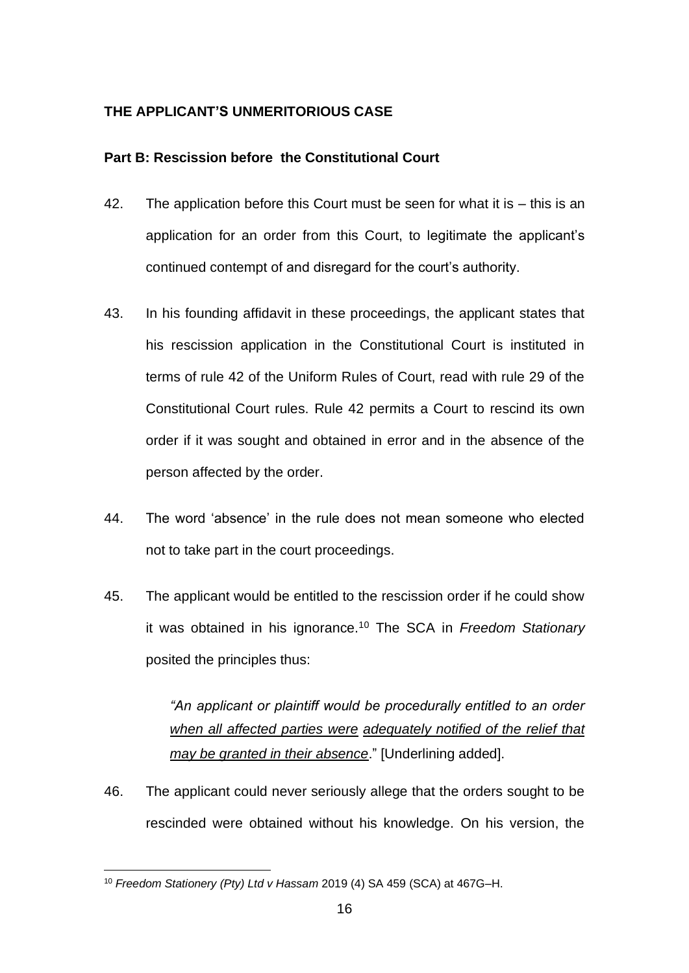# **THE APPLICANT'S UNMERITORIOUS CASE**

# **Part B: Rescission before the Constitutional Court**

- 42. The application before this Court must be seen for what it is this is an application for an order from this Court, to legitimate the applicant's continued contempt of and disregard for the court's authority.
- 43. In his founding affidavit in these proceedings, the applicant states that his rescission application in the Constitutional Court is instituted in terms of rule 42 of the Uniform Rules of Court, read with rule 29 of the Constitutional Court rules. Rule 42 permits a Court to rescind its own order if it was sought and obtained in error and in the absence of the person affected by the order.
- 44. The word 'absence' in the rule does not mean someone who elected not to take part in the court proceedings.
- 45. The applicant would be entitled to the rescission order if he could show it was obtained in his ignorance.<sup>10</sup> The SCA in *Freedom Stationary*  posited the principles thus:

*"An applicant or plaintiff would be procedurally entitled to an order when all affected parties were adequately notified of the relief that may be granted in their absence*." [Underlining added].

46. The applicant could never seriously allege that the orders sought to be rescinded were obtained without his knowledge. On his version, the

<sup>10</sup> *Freedom Stationery (Pty) Ltd v Hassam* 2019 (4) SA 459 (SCA) at 467G–H.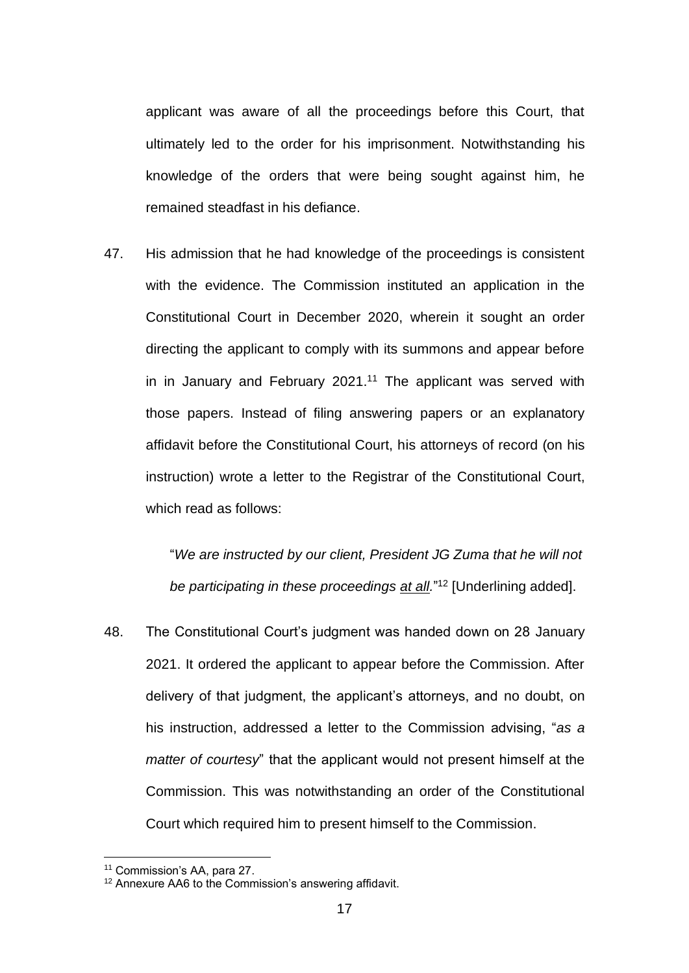applicant was aware of all the proceedings before this Court, that ultimately led to the order for his imprisonment. Notwithstanding his knowledge of the orders that were being sought against him, he remained steadfast in his defiance.

47. His admission that he had knowledge of the proceedings is consistent with the evidence. The Commission instituted an application in the Constitutional Court in December 2020, wherein it sought an order directing the applicant to comply with its summons and appear before in in January and February 2021.<sup>11</sup> The applicant was served with those papers. Instead of filing answering papers or an explanatory affidavit before the Constitutional Court, his attorneys of record (on his instruction) wrote a letter to the Registrar of the Constitutional Court, which read as follows:

> "*We are instructed by our client, President JG Zuma that he will not be participating in these proceedings at all.*" <sup>12</sup> [Underlining added].

48. The Constitutional Court's judgment was handed down on 28 January 2021. It ordered the applicant to appear before the Commission. After delivery of that judgment, the applicant's attorneys, and no doubt, on his instruction, addressed a letter to the Commission advising, "*as a matter of courtesy*" that the applicant would not present himself at the Commission. This was notwithstanding an order of the Constitutional Court which required him to present himself to the Commission.

<sup>11</sup> Commission's AA, para 27.

<sup>&</sup>lt;sup>12</sup> Annexure AA6 to the Commission's answering affidavit.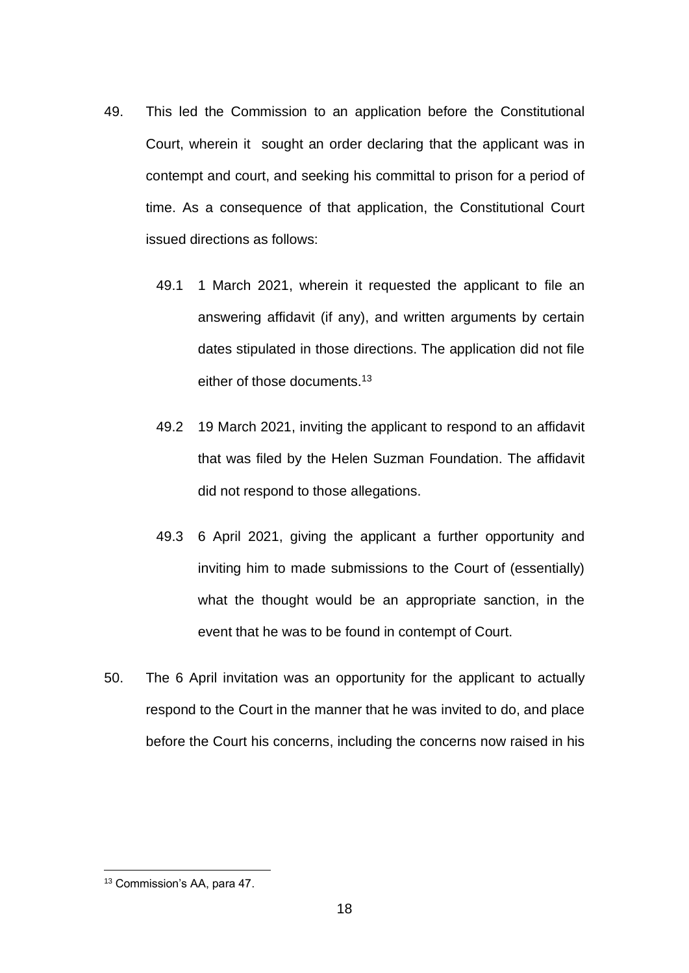- 49. This led the Commission to an application before the Constitutional Court, wherein it sought an order declaring that the applicant was in contempt and court, and seeking his committal to prison for a period of time. As a consequence of that application, the Constitutional Court issued directions as follows:
	- 49.1 1 March 2021, wherein it requested the applicant to file an answering affidavit (if any), and written arguments by certain dates stipulated in those directions. The application did not file either of those documents.<sup>13</sup>
	- 49.2 19 March 2021, inviting the applicant to respond to an affidavit that was filed by the Helen Suzman Foundation. The affidavit did not respond to those allegations.
	- 49.3 6 April 2021, giving the applicant a further opportunity and inviting him to made submissions to the Court of (essentially) what the thought would be an appropriate sanction, in the event that he was to be found in contempt of Court.
- 50. The 6 April invitation was an opportunity for the applicant to actually respond to the Court in the manner that he was invited to do, and place before the Court his concerns, including the concerns now raised in his

<sup>13</sup> Commission's AA, para 47.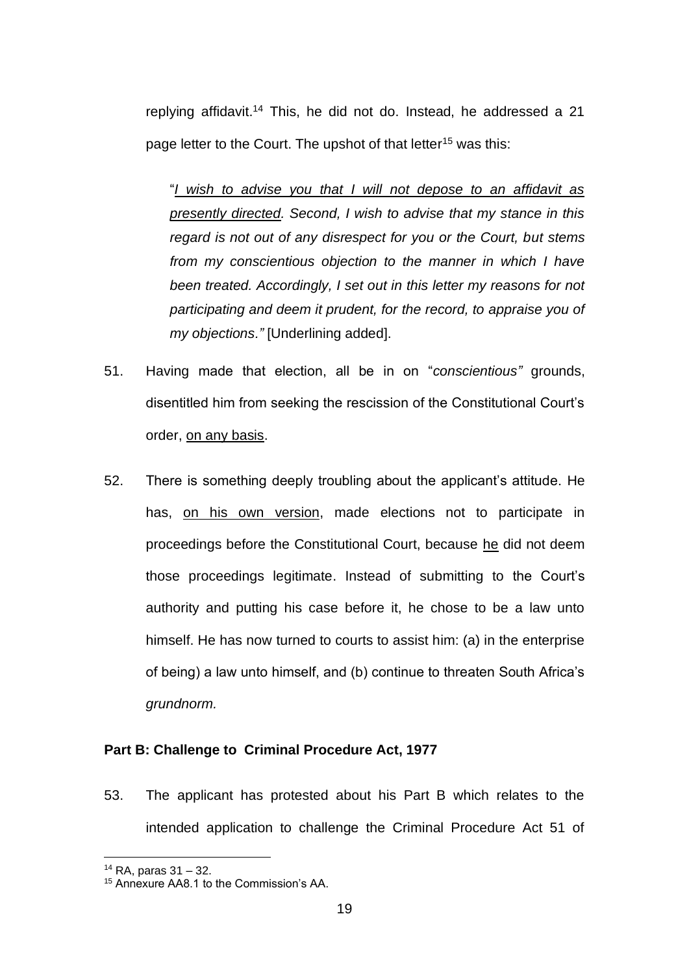replying affidavit. <sup>14</sup> This, he did not do. Instead, he addressed a 21 page letter to the Court. The upshot of that letter<sup>15</sup> was this:

"*I wish to advise you that I will not depose to an affidavit as presently directed. Second, I wish to advise that my stance in this regard is not out of any disrespect for you or the Court, but stems from my conscientious objection to the manner in which I have been treated. Accordingly, I set out in this letter my reasons for not participating and deem it prudent, for the record, to appraise you of my objections."* [Underlining added].

- 51. Having made that election, all be in on "*conscientious"* grounds, disentitled him from seeking the rescission of the Constitutional Court's order, on any basis.
- 52. There is something deeply troubling about the applicant's attitude. He has, on his own version, made elections not to participate in proceedings before the Constitutional Court, because he did not deem those proceedings legitimate. Instead of submitting to the Court's authority and putting his case before it, he chose to be a law unto himself. He has now turned to courts to assist him: (a) in the enterprise of being) a law unto himself, and (b) continue to threaten South Africa's *grundnorm.*

# **Part B: Challenge to Criminal Procedure Act, 1977**

53. The applicant has protested about his Part B which relates to the intended application to challenge the Criminal Procedure Act 51 of

 $14$  RA, paras  $31 - 32$ .

<sup>15</sup> Annexure AA8.1 to the Commission's AA.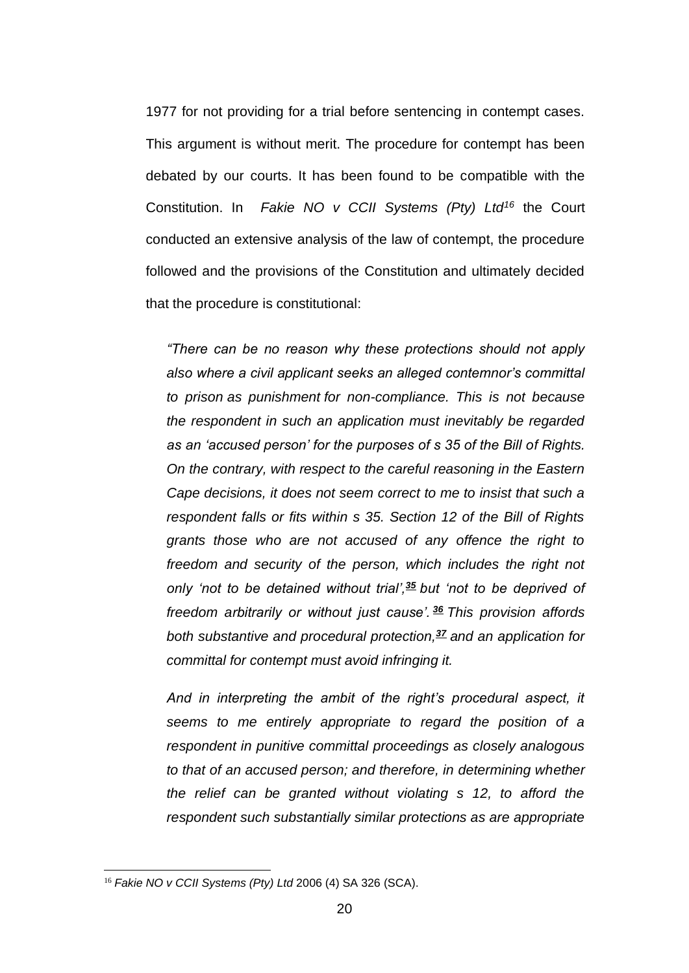1977 for not providing for a trial before sentencing in contempt cases. This argument is without merit. The procedure for contempt has been debated by our courts. It has been found to be compatible with the Constitution. In *Fakie NO v CCII Systems (Pty) Ltd<sup>16</sup>* the Court conducted an extensive analysis of the law of contempt, the procedure followed and the provisions of the Constitution and ultimately decided that the procedure is constitutional:

*"There can be no reason why these protections should not apply also where a civil applicant seeks an alleged contemnor's committal to prison as punishment for non-compliance. This is not because the respondent in such an application must inevitably be regarded as an 'accused person' for the purposes of s 35 of the Bill of Rights. On the contrary, with respect to the careful reasoning in the Eastern Cape decisions, it does not seem correct to me to insist that such a respondent falls or fits within s 35. Section 12 of the Bill of Rights grants those who are not accused of any offence the right to freedom and security of the person, which includes the right not only 'not to be detained without trial',[35](http://www.saflii.org/za/cases/ZASCA/2006/52.html#sdfootnote35sym) but 'not to be deprived of freedom arbitrarily or without just cause'. [36](http://www.saflii.org/za/cases/ZASCA/2006/52.html#sdfootnote36sym) This provision affords both substantive and procedural protection,[37](http://www.saflii.org/za/cases/ZASCA/2006/52.html#sdfootnote37sym) and an application for committal for contempt must avoid infringing it.*

*And in interpreting the ambit of the right's procedural aspect, it seems to me entirely appropriate to regard the position of a respondent in punitive committal proceedings as closely analogous to that of an accused person; and therefore, in determining whether the relief can be granted without violating s 12, to afford the respondent such substantially similar protections as are appropriate* 

<sup>16</sup> *Fakie NO v CCII Systems (Pty) Ltd* 2006 (4) SA 326 (SCA).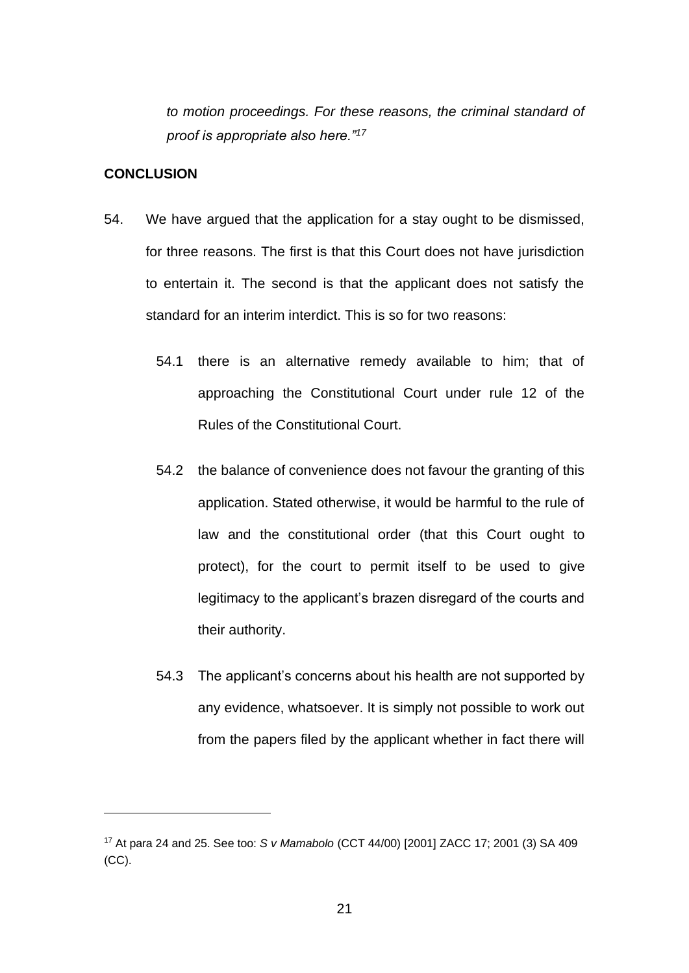*to motion proceedings. For these reasons, the criminal standard of proof is appropriate also here."<sup>17</sup>*

# **CONCLUSION**

- 54. We have argued that the application for a stay ought to be dismissed, for three reasons. The first is that this Court does not have jurisdiction to entertain it. The second is that the applicant does not satisfy the standard for an interim interdict. This is so for two reasons:
	- 54.1 there is an alternative remedy available to him; that of approaching the Constitutional Court under rule 12 of the Rules of the Constitutional Court.
	- 54.2 the balance of convenience does not favour the granting of this application. Stated otherwise, it would be harmful to the rule of law and the constitutional order (that this Court ought to protect), for the court to permit itself to be used to give legitimacy to the applicant's brazen disregard of the courts and their authority.
	- 54.3 The applicant's concerns about his health are not supported by any evidence, whatsoever. It is simply not possible to work out from the papers filed by the applicant whether in fact there will

<sup>17</sup> At para 24 and 25. See too: *S v Mamabolo* (CCT 44/00) [2001] ZACC 17; 2001 (3) SA 409 (CC).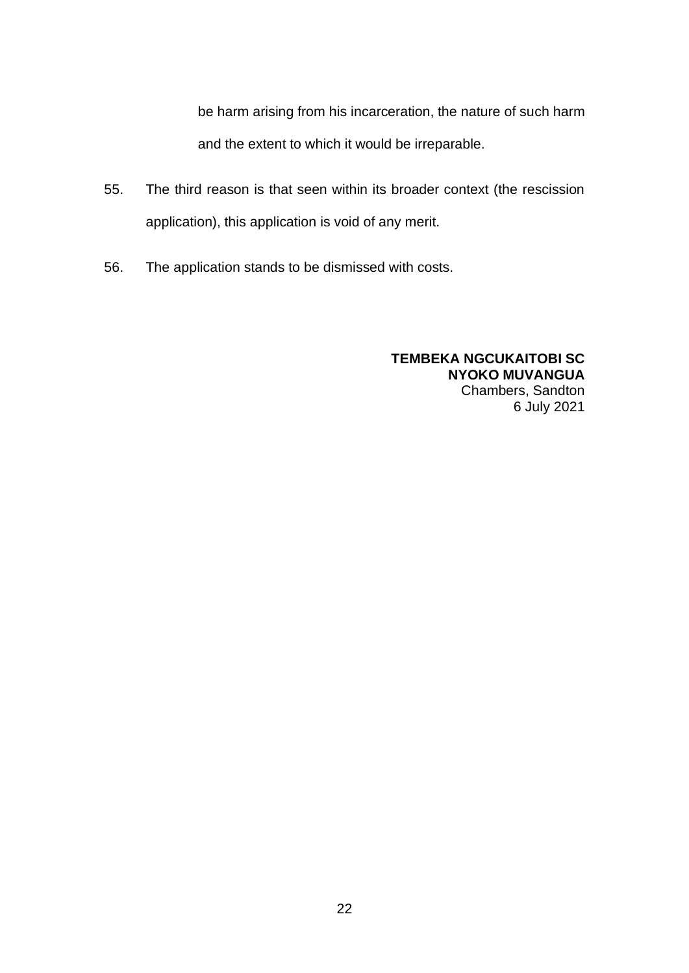be harm arising from his incarceration, the nature of such harm and the extent to which it would be irreparable.

- 55. The third reason is that seen within its broader context (the rescission application), this application is void of any merit.
- 56. The application stands to be dismissed with costs.

### **TEMBEKA NGCUKAITOBI SC NYOKO MUVANGUA** Chambers, Sandton 6 July 2021